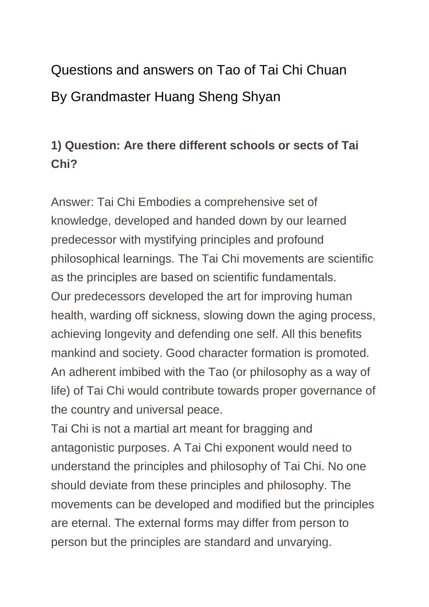# Questions and answers on Tao of Tai Chi Chuan By Grandmaster Huang Sheng Shyan

#### **1) Question: Are there different schools or sects of Tai Chi?**

Answer: Tai Chi Embodies a comprehensive set of knowledge, developed and handed down by our learned predecessor with mystifying principles and profound philosophical learnings. The Tai Chi movements are scientific as the principles are based on scientific fundamentals. Our predecessors developed the art for improving human health, warding off sickness, slowing down the aging process, achieving longevity and defending one self. All this benefits mankind and society. Good character formation is promoted. An adherent imbibed with the Tao (or philosophy as a way of life) of Tai Chi would contribute towards proper governance of the country and universal peace.

Tai Chi is not a martial art meant for bragging and antagonistic purposes. A Tai Chi exponent would need to understand the principles and philosophy of Tai Chi. No one should deviate from these principles and philosophy. The movements can be developed and modified but the principles are eternal. The external forms may differ from person to person but the principles are standard and unvarying.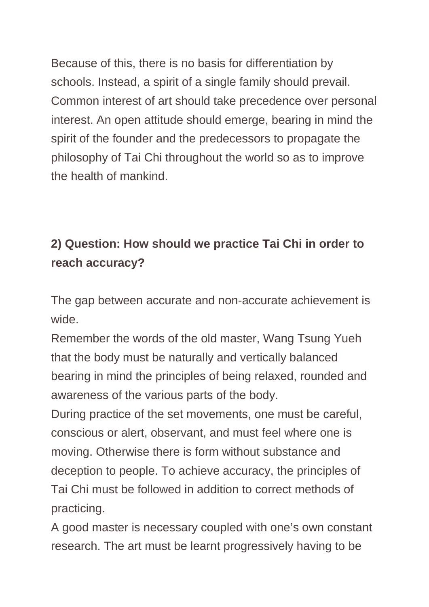Because of this, there is no basis for differentiation by schools. Instead, a spirit of a single family should prevail. Common interest of art should take precedence over personal interest. An open attitude should emerge, bearing in mind the spirit of the founder and the predecessors to propagate the philosophy of Tai Chi throughout the world so as to improve the health of mankind.

## **2) Question: How should we practice Tai Chi in order to reach accuracy?**

The gap between accurate and non-accurate achievement is wide.

Remember the words of the old master, Wang Tsung Yueh that the body must be naturally and vertically balanced bearing in mind the principles of being relaxed, rounded and awareness of the various parts of the body.

During practice of the set movements, one must be careful, conscious or alert, observant, and must feel where one is moving. Otherwise there is form without substance and deception to people. To achieve accuracy, the principles of Tai Chi must be followed in addition to correct methods of practicing.

A good master is necessary coupled with one's own constant research. The art must be learnt progressively having to be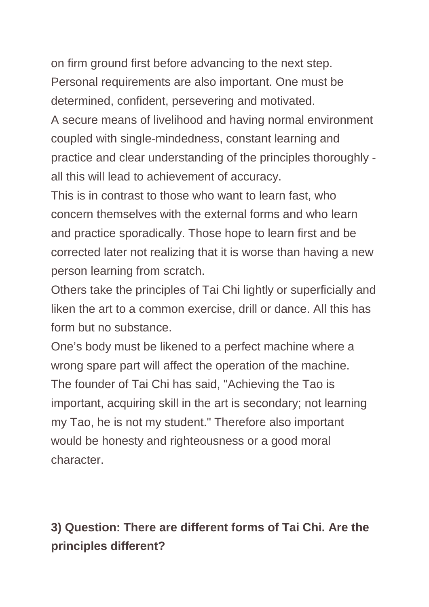on firm ground first before advancing to the next step. Personal requirements are also important. One must be determined, confident, persevering and motivated.

A secure means of livelihood and having normal environment coupled with single-mindedness, constant learning and practice and clear understanding of the principles thoroughly all this will lead to achievement of accuracy.

This is in contrast to those who want to learn fast, who concern themselves with the external forms and who learn and practice sporadically. Those hope to learn first and be corrected later not realizing that it is worse than having a new person learning from scratch.

Others take the principles of Tai Chi lightly or superficially and liken the art to a common exercise, drill or dance. All this has form but no substance.

One's body must be likened to a perfect machine where a wrong spare part will affect the operation of the machine. The founder of Tai Chi has said, "Achieving the Tao is important, acquiring skill in the art is secondary; not learning my Tao, he is not my student." Therefore also important would be honesty and righteousness or a good moral character.

## **3) Question: There are different forms of Tai Chi. Are the principles different?**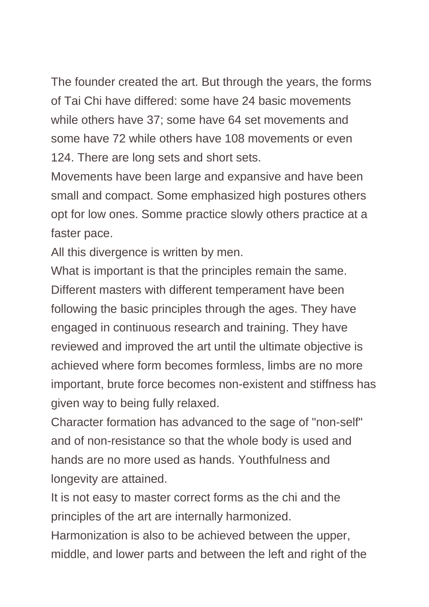The founder created the art. But through the years, the forms of Tai Chi have differed: some have 24 basic movements while others have 37; some have 64 set movements and some have 72 while others have 108 movements or even 124. There are long sets and short sets.

Movements have been large and expansive and have been small and compact. Some emphasized high postures others opt for low ones. Somme practice slowly others practice at a faster pace.

All this divergence is written by men.

What is important is that the principles remain the same. Different masters with different temperament have been following the basic principles through the ages. They have engaged in continuous research and training. They have reviewed and improved the art until the ultimate objective is achieved where form becomes formless, limbs are no more important, brute force becomes non-existent and stiffness has given way to being fully relaxed.

Character formation has advanced to the sage of "non-self" and of non-resistance so that the whole body is used and hands are no more used as hands. Youthfulness and longevity are attained.

It is not easy to master correct forms as the chi and the principles of the art are internally harmonized.

Harmonization is also to be achieved between the upper, middle, and lower parts and between the left and right of the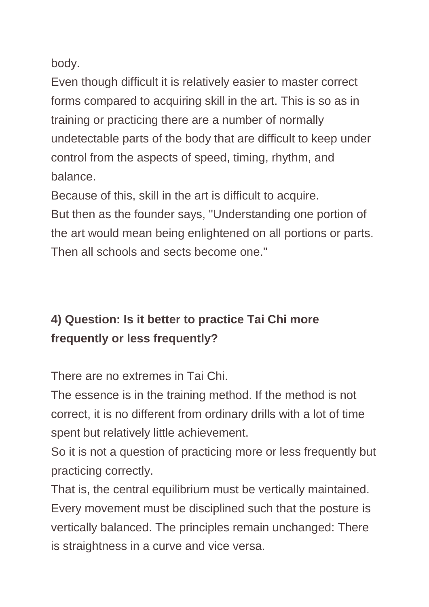body.

Even though difficult it is relatively easier to master correct forms compared to acquiring skill in the art. This is so as in training or practicing there are a number of normally undetectable parts of the body that are difficult to keep under control from the aspects of speed, timing, rhythm, and balance.

Because of this, skill in the art is difficult to acquire.

But then as the founder says, "Understanding one portion of the art would mean being enlightened on all portions or parts. Then all schools and sects become one."

## **4) Question: Is it better to practice Tai Chi more frequently or less frequently?**

There are no extremes in Tai Chi.

The essence is in the training method. If the method is not correct, it is no different from ordinary drills with a lot of time spent but relatively little achievement.

So it is not a question of practicing more or less frequently but practicing correctly.

That is, the central equilibrium must be vertically maintained. Every movement must be disciplined such that the posture is vertically balanced. The principles remain unchanged: There is straightness in a curve and vice versa.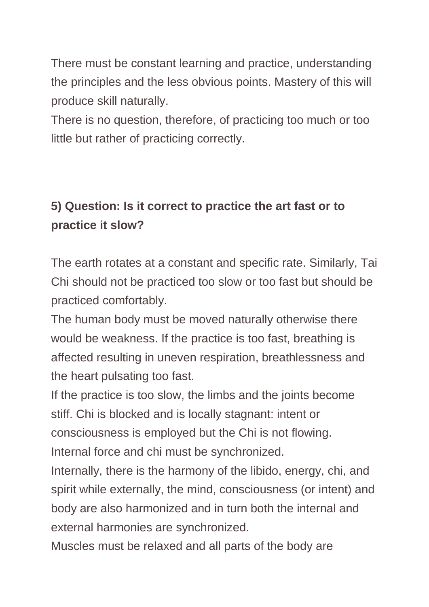There must be constant learning and practice, understanding the principles and the less obvious points. Mastery of this will produce skill naturally.

There is no question, therefore, of practicing too much or too little but rather of practicing correctly.

## **5) Question: Is it correct to practice the art fast or to practice it slow?**

The earth rotates at a constant and specific rate. Similarly, Tai Chi should not be practiced too slow or too fast but should be practiced comfortably.

The human body must be moved naturally otherwise there would be weakness. If the practice is too fast, breathing is affected resulting in uneven respiration, breathlessness and the heart pulsating too fast.

If the practice is too slow, the limbs and the joints become stiff. Chi is blocked and is locally stagnant: intent or consciousness is employed but the Chi is not flowing. Internal force and chi must be synchronized.

Internally, there is the harmony of the libido, energy, chi, and spirit while externally, the mind, consciousness (or intent) and body are also harmonized and in turn both the internal and external harmonies are synchronized.

Muscles must be relaxed and all parts of the body are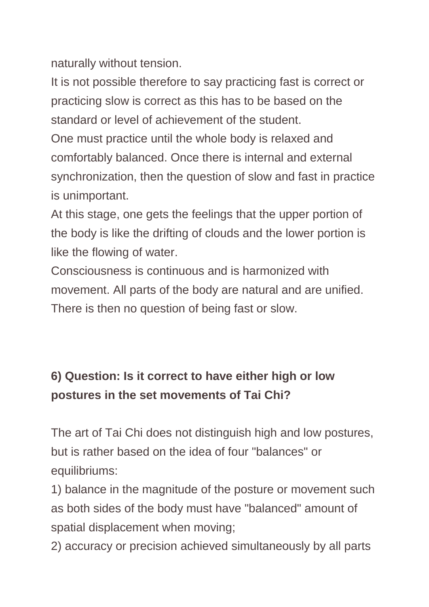naturally without tension.

It is not possible therefore to say practicing fast is correct or practicing slow is correct as this has to be based on the standard or level of achievement of the student.

One must practice until the whole body is relaxed and comfortably balanced. Once there is internal and external synchronization, then the question of slow and fast in practice is unimportant.

At this stage, one gets the feelings that the upper portion of the body is like the drifting of clouds and the lower portion is like the flowing of water.

Consciousness is continuous and is harmonized with movement. All parts of the body are natural and are unified. There is then no question of being fast or slow.

## **6) Question: Is it correct to have either high or low postures in the set movements of Tai Chi?**

The art of Tai Chi does not distinguish high and low postures, but is rather based on the idea of four "balances" or equilibriums:

1) balance in the magnitude of the posture or movement such as both sides of the body must have "balanced" amount of spatial displacement when moving;

2) accuracy or precision achieved simultaneously by all parts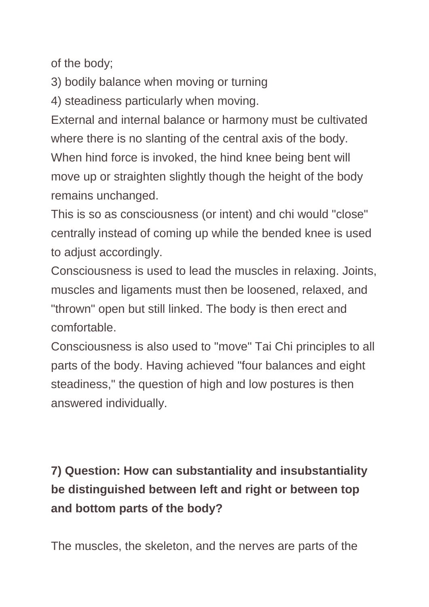of the body;

3) bodily balance when moving or turning

4) steadiness particularly when moving.

External and internal balance or harmony must be cultivated where there is no slanting of the central axis of the body. When hind force is invoked, the hind knee being bent will move up or straighten slightly though the height of the body remains unchanged.

This is so as consciousness (or intent) and chi would "close" centrally instead of coming up while the bended knee is used to adjust accordingly.

Consciousness is used to lead the muscles in relaxing. Joints, muscles and ligaments must then be loosened, relaxed, and "thrown" open but still linked. The body is then erect and comfortable.

Consciousness is also used to "move" Tai Chi principles to all parts of the body. Having achieved "four balances and eight steadiness," the question of high and low postures is then answered individually.

## **7) Question: How can substantiality and insubstantiality be distinguished between left and right or between top and bottom parts of the body?**

The muscles, the skeleton, and the nerves are parts of the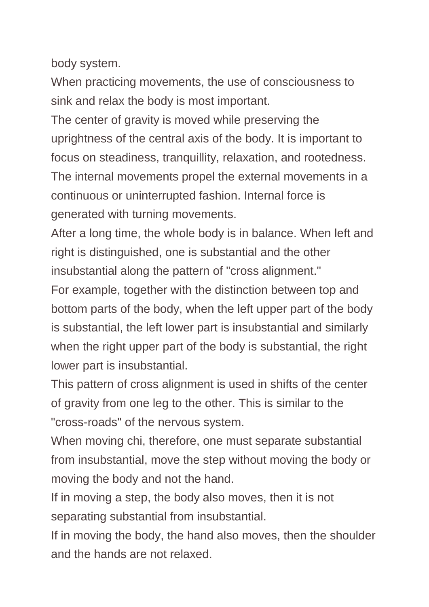body system.

When practicing movements, the use of consciousness to sink and relax the body is most important.

The center of gravity is moved while preserving the uprightness of the central axis of the body. It is important to focus on steadiness, tranquillity, relaxation, and rootedness. The internal movements propel the external movements in a continuous or uninterrupted fashion. Internal force is generated with turning movements.

After a long time, the whole body is in balance. When left and right is distinguished, one is substantial and the other insubstantial along the pattern of "cross alignment."

For example, together with the distinction between top and bottom parts of the body, when the left upper part of the body is substantial, the left lower part is insubstantial and similarly when the right upper part of the body is substantial, the right lower part is insubstantial.

This pattern of cross alignment is used in shifts of the center of gravity from one leg to the other. This is similar to the "cross-roads" of the nervous system.

When moving chi, therefore, one must separate substantial from insubstantial, move the step without moving the body or moving the body and not the hand.

If in moving a step, the body also moves, then it is not separating substantial from insubstantial.

If in moving the body, the hand also moves, then the shoulder and the hands are not relaxed.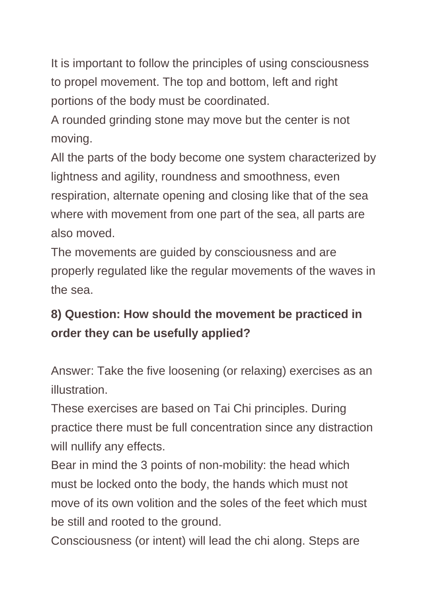It is important to follow the principles of using consciousness to propel movement. The top and bottom, left and right portions of the body must be coordinated.

A rounded grinding stone may move but the center is not moving.

All the parts of the body become one system characterized by lightness and agility, roundness and smoothness, even respiration, alternate opening and closing like that of the sea where with movement from one part of the sea, all parts are also moved.

The movements are guided by consciousness and are properly regulated like the regular movements of the waves in the sea.

## **8) Question: How should the movement be practiced in order they can be usefully applied?**

Answer: Take the five loosening (or relaxing) exercises as an illustration.

These exercises are based on Tai Chi principles. During practice there must be full concentration since any distraction will nullify any effects.

Bear in mind the 3 points of non-mobility: the head which must be locked onto the body, the hands which must not move of its own volition and the soles of the feet which must be still and rooted to the ground.

Consciousness (or intent) will lead the chi along. Steps are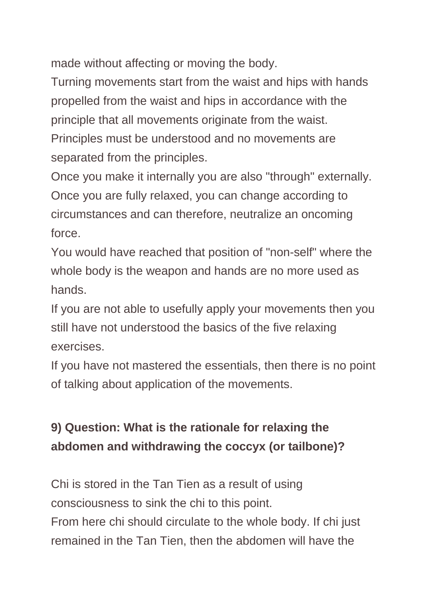made without affecting or moving the body.

Turning movements start from the waist and hips with hands propelled from the waist and hips in accordance with the principle that all movements originate from the waist. Principles must be understood and no movements are separated from the principles.

Once you make it internally you are also "through" externally. Once you are fully relaxed, you can change according to circumstances and can therefore, neutralize an oncoming force.

You would have reached that position of "non-self" where the whole body is the weapon and hands are no more used as hands.

If you are not able to usefully apply your movements then you still have not understood the basics of the five relaxing exercises.

If you have not mastered the essentials, then there is no point of talking about application of the movements.

#### **9) Question: What is the rationale for relaxing the abdomen and withdrawing the coccyx (or tailbone)?**

Chi is stored in the Tan Tien as a result of using consciousness to sink the chi to this point. From here chi should circulate to the whole body. If chi just remained in the Tan Tien, then the abdomen will have the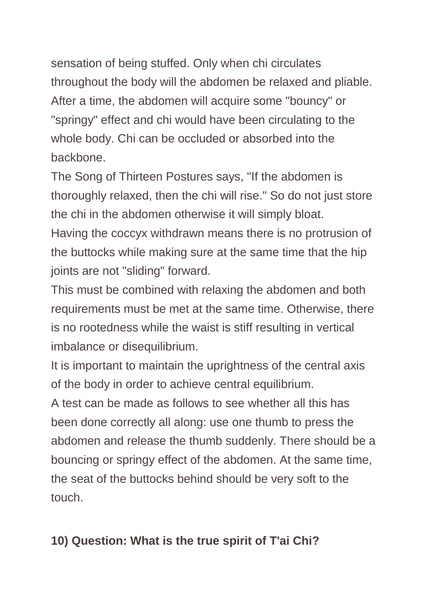sensation of being stuffed. Only when chi circulates throughout the body will the abdomen be relaxed and pliable. After a time, the abdomen will acquire some "bouncy" or "springy" effect and chi would have been circulating to the whole body. Chi can be occluded or absorbed into the backbone.

The Song of Thirteen Postures says, "If the abdomen is thoroughly relaxed, then the chi will rise." So do not just store the chi in the abdomen otherwise it will simply bloat.

Having the coccyx withdrawn means there is no protrusion of the buttocks while making sure at the same time that the hip joints are not "sliding" forward.

This must be combined with relaxing the abdomen and both requirements must be met at the same time. Otherwise, there is no rootedness while the waist is stiff resulting in vertical imbalance or disequilibrium.

It is important to maintain the uprightness of the central axis of the body in order to achieve central equilibrium.

A test can be made as follows to see whether all this has been done correctly all along: use one thumb to press the abdomen and release the thumb suddenly. There should be a bouncing or springy effect of the abdomen. At the same time, the seat of the buttocks behind should be very soft to the touch.

#### **10) Question: What is the true spirit of T'ai Chi?**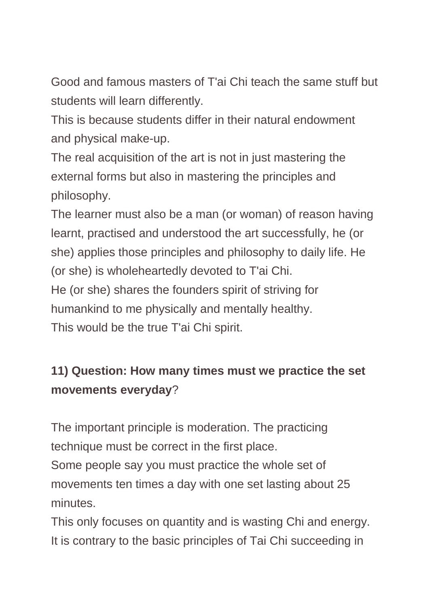Good and famous masters of T'ai Chi teach the same stuff but students will learn differently.

This is because students differ in their natural endowment and physical make-up.

The real acquisition of the art is not in just mastering the external forms but also in mastering the principles and philosophy.

The learner must also be a man (or woman) of reason having learnt, practised and understood the art successfully, he (or she) applies those principles and philosophy to daily life. He (or she) is wholeheartedly devoted to T'ai Chi. He (or she) shares the founders spirit of striving for humankind to me physically and mentally healthy.

This would be the true T'ai Chi spirit.

## **11) Question: How many times must we practice the set movements everyday**?

The important principle is moderation. The practicing technique must be correct in the first place.

Some people say you must practice the whole set of movements ten times a day with one set lasting about 25 minutes.

This only focuses on quantity and is wasting Chi and energy. It is contrary to the basic principles of Tai Chi succeeding in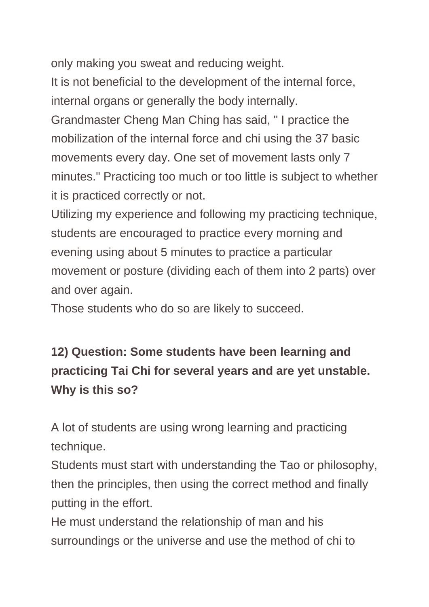only making you sweat and reducing weight.

It is not beneficial to the development of the internal force, internal organs or generally the body internally.

Grandmaster Cheng Man Ching has said, " I practice the mobilization of the internal force and chi using the 37 basic movements every day. One set of movement lasts only 7 minutes." Practicing too much or too little is subject to whether it is practiced correctly or not.

Utilizing my experience and following my practicing technique, students are encouraged to practice every morning and evening using about 5 minutes to practice a particular movement or posture (dividing each of them into 2 parts) over and over again.

Those students who do so are likely to succeed.

## **12) Question: Some students have been learning and practicing Tai Chi for several years and are yet unstable. Why is this so?**

A lot of students are using wrong learning and practicing technique.

Students must start with understanding the Tao or philosophy, then the principles, then using the correct method and finally putting in the effort.

He must understand the relationship of man and his surroundings or the universe and use the method of chi to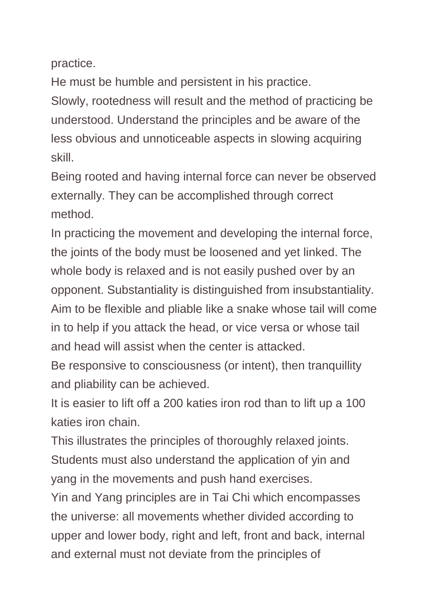practice.

He must be humble and persistent in his practice.

Slowly, rootedness will result and the method of practicing be understood. Understand the principles and be aware of the less obvious and unnoticeable aspects in slowing acquiring skill.

Being rooted and having internal force can never be observed externally. They can be accomplished through correct method.

In practicing the movement and developing the internal force, the joints of the body must be loosened and yet linked. The whole body is relaxed and is not easily pushed over by an opponent. Substantiality is distinguished from insubstantiality. Aim to be flexible and pliable like a snake whose tail will come in to help if you attack the head, or vice versa or whose tail and head will assist when the center is attacked.

Be responsive to consciousness (or intent), then tranquillity and pliability can be achieved.

It is easier to lift off a 200 katies iron rod than to lift up a 100 katies iron chain.

This illustrates the principles of thoroughly relaxed joints. Students must also understand the application of yin and yang in the movements and push hand exercises.

Yin and Yang principles are in Tai Chi which encompasses the universe: all movements whether divided according to upper and lower body, right and left, front and back, internal and external must not deviate from the principles of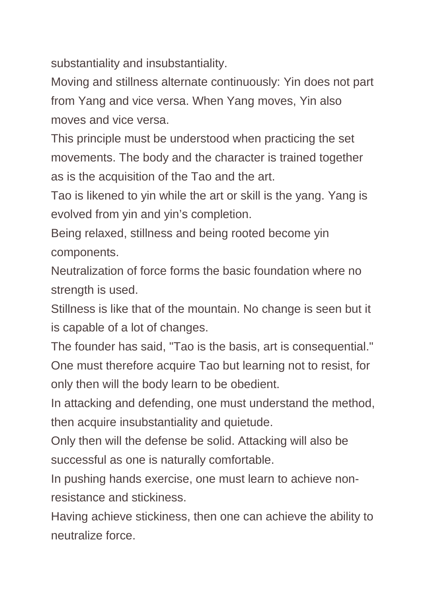substantiality and insubstantiality.

Moving and stillness alternate continuously: Yin does not part from Yang and vice versa. When Yang moves, Yin also moves and vice versa.

This principle must be understood when practicing the set movements. The body and the character is trained together as is the acquisition of the Tao and the art.

Tao is likened to yin while the art or skill is the yang. Yang is evolved from yin and yin's completion.

Being relaxed, stillness and being rooted become yin components.

Neutralization of force forms the basic foundation where no strength is used.

Stillness is like that of the mountain. No change is seen but it is capable of a lot of changes.

The founder has said, "Tao is the basis, art is consequential." One must therefore acquire Tao but learning not to resist, for only then will the body learn to be obedient.

In attacking and defending, one must understand the method, then acquire insubstantiality and quietude.

Only then will the defense be solid. Attacking will also be successful as one is naturally comfortable.

In pushing hands exercise, one must learn to achieve nonresistance and stickiness.

Having achieve stickiness, then one can achieve the ability to neutralize force.